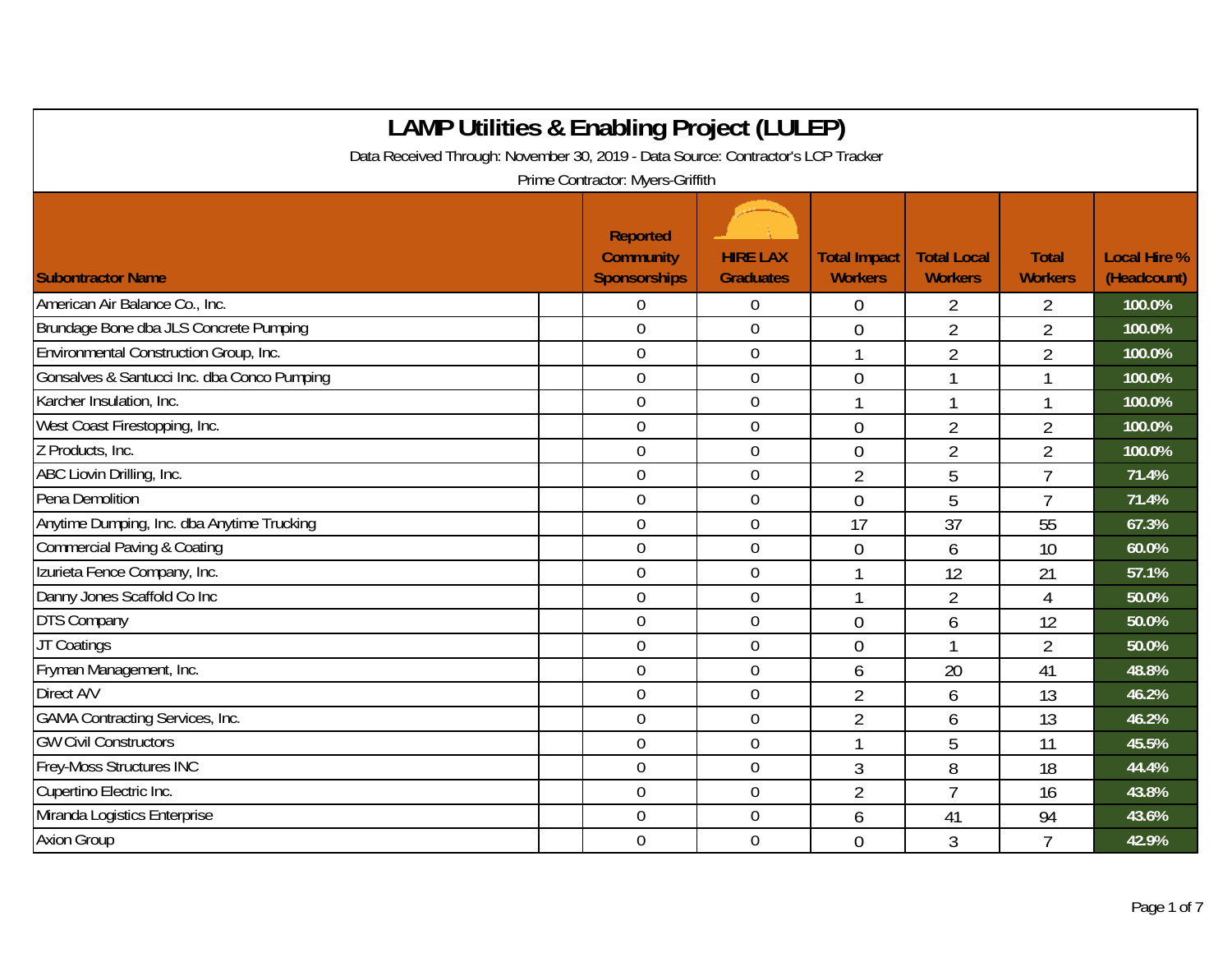| <b>LAMP Utilities &amp; Enabling Project (LULEP)</b>                             |                                                            |                                     |                                       |                                      |                                |                                    |  |  |  |  |
|----------------------------------------------------------------------------------|------------------------------------------------------------|-------------------------------------|---------------------------------------|--------------------------------------|--------------------------------|------------------------------------|--|--|--|--|
| Data Received Through: November 30, 2019 - Data Source: Contractor's LCP Tracker |                                                            |                                     |                                       |                                      |                                |                                    |  |  |  |  |
| Prime Contractor: Myers-Griffith                                                 |                                                            |                                     |                                       |                                      |                                |                                    |  |  |  |  |
| <b>Subontractor Name</b>                                                         | <b>Reported</b><br><b>Community</b><br><b>Sponsorships</b> | <b>HIRE LAX</b><br><b>Graduates</b> | <b>Total Impact</b><br><b>Workers</b> | <b>Total Local</b><br><b>Workers</b> | <b>Total</b><br><b>Workers</b> | <b>Local Hire %</b><br>(Headcount) |  |  |  |  |
| American Air Balance Co., Inc.                                                   | 0                                                          | $\boldsymbol{0}$                    | $\overline{0}$                        | $\overline{2}$                       | 2                              | 100.0%                             |  |  |  |  |
| Brundage Bone dba JLS Concrete Pumping                                           | $\overline{0}$                                             | $\boldsymbol{0}$                    | $\overline{0}$                        | $\overline{2}$                       | $\overline{2}$                 | 100.0%                             |  |  |  |  |
| Environmental Construction Group, Inc.                                           | $\mathbf 0$                                                | $\boldsymbol{0}$                    | $\mathbf{1}$                          | $\overline{2}$                       | $\overline{2}$                 | 100.0%                             |  |  |  |  |
| Gonsalves & Santucci Inc. dba Conco Pumping                                      | $\mathbf 0$                                                | $\mathbf 0$                         | $\overline{0}$                        | 1                                    | 1                              | 100.0%                             |  |  |  |  |
| Karcher Insulation, Inc.                                                         | $\overline{0}$                                             | $\mathbf 0$                         |                                       | 1                                    | 1                              | 100.0%                             |  |  |  |  |
| West Coast Firestopping, Inc.                                                    | $\overline{0}$                                             | $\mathbf 0$                         | $\overline{0}$                        | $\overline{2}$                       | $\overline{2}$                 | 100.0%                             |  |  |  |  |
| Z Products, Inc.                                                                 | $\mathbf 0$                                                | $\mathbf 0$                         | $\overline{0}$                        | $\overline{2}$                       | $\overline{2}$                 | 100.0%                             |  |  |  |  |
| ABC Liovin Drilling, Inc.                                                        | $\overline{0}$                                             | $\mathbf 0$                         | $\overline{2}$                        | 5                                    | $\overline{7}$                 | 71.4%                              |  |  |  |  |
| Pena Demolition                                                                  | $\overline{0}$                                             | $\mathbf 0$                         | $\Omega$                              | 5                                    | $\overline{1}$                 | 71.4%                              |  |  |  |  |
| Anytime Dumping, Inc. dba Anytime Trucking                                       | $\overline{0}$                                             | $\mathbf 0$                         | 17                                    | 37                                   | 55                             | 67.3%                              |  |  |  |  |
| <b>Commercial Paving &amp; Coating</b>                                           | $\boldsymbol{0}$                                           | $\boldsymbol{0}$                    | $\overline{0}$                        | 6                                    | 10                             | 60.0%                              |  |  |  |  |
| Izurieta Fence Company, Inc.                                                     | $\mathbf 0$                                                | $\mathbf 0$                         |                                       | 12                                   | 21                             | 57.1%                              |  |  |  |  |
| Danny Jones Scaffold Co Inc                                                      | $\overline{0}$                                             | $\overline{0}$                      | 1                                     | $\overline{2}$                       | $\overline{4}$                 | 50.0%                              |  |  |  |  |
| <b>DTS Company</b>                                                               | $\overline{0}$                                             | $\mathbf 0$                         | $\Omega$                              | 6                                    | 12                             | 50.0%                              |  |  |  |  |
| JT Coatings                                                                      | $\overline{0}$                                             | $\mathbf 0$                         | $\overline{0}$                        | 1                                    | $\overline{2}$                 | 50.0%                              |  |  |  |  |
| Fryman Management, Inc.                                                          | $\mathbf 0$                                                | $\mathbf 0$                         | 6                                     | 20                                   | 41                             | 48.8%                              |  |  |  |  |
| Direct A/V                                                                       | $\mathbf 0$                                                | $\mathbf 0$                         | $\overline{2}$                        | 6                                    | 13                             | 46.2%                              |  |  |  |  |
| <b>GAMA Contracting Services, Inc.</b>                                           | $\overline{0}$                                             | $\boldsymbol{0}$                    | $\overline{2}$                        | 6                                    | 13                             | 46.2%                              |  |  |  |  |
| <b>GW Civil Constructors</b>                                                     | $\mathbf 0$                                                | $\mathbf 0$                         |                                       | 5                                    | 11                             | 45.5%                              |  |  |  |  |
| Frey-Moss Structures INC                                                         | $\overline{0}$                                             | $\boldsymbol{0}$                    | 3                                     | 8                                    | 18                             | 44.4%                              |  |  |  |  |
| Cupertino Electric Inc.                                                          | $\overline{0}$                                             | $\mathbf 0$                         | $\overline{2}$                        | $\overline{7}$                       | 16                             | 43.8%                              |  |  |  |  |
| Miranda Logistics Enterprise                                                     | $\mathbf 0$                                                | $\mathbf 0$                         | 6                                     | 41                                   | 94                             | 43.6%                              |  |  |  |  |
| <b>Axion Group</b>                                                               | $\overline{0}$                                             | $\mathbf 0$                         | $\overline{0}$                        | 3                                    | $\overline{7}$                 | 42.9%                              |  |  |  |  |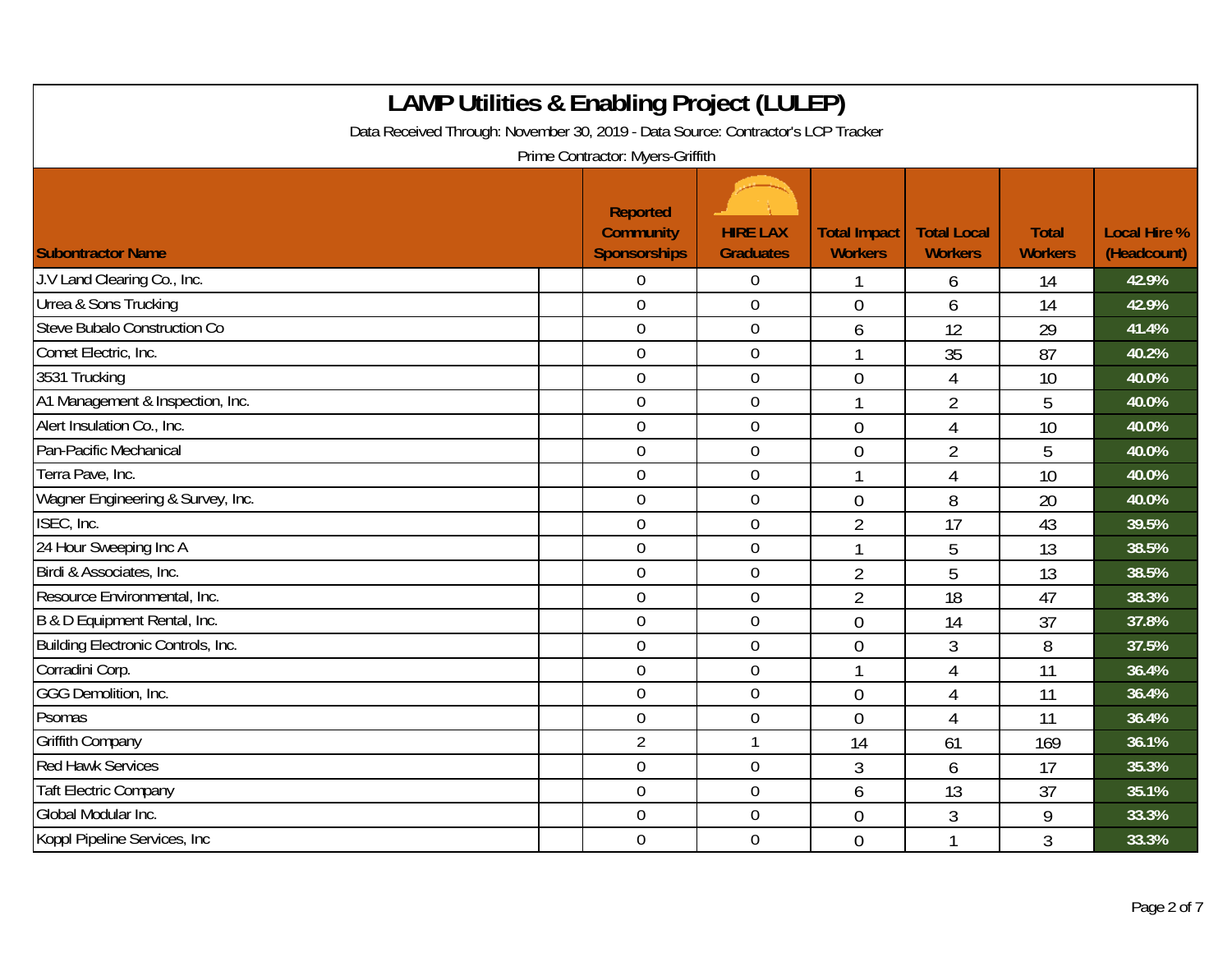| <b>LAMP Utilities &amp; Enabling Project (LULEP)</b><br>Data Received Through: November 30, 2019 - Data Source: Contractor's LCP Tracker |  |                                                            |                                     |                                       |                                      |                                |                                    |  |  |  |
|------------------------------------------------------------------------------------------------------------------------------------------|--|------------------------------------------------------------|-------------------------------------|---------------------------------------|--------------------------------------|--------------------------------|------------------------------------|--|--|--|
| Prime Contractor: Myers-Griffith                                                                                                         |  |                                                            |                                     |                                       |                                      |                                |                                    |  |  |  |
| <b>Subontractor Name</b>                                                                                                                 |  | <b>Reported</b><br><b>Community</b><br><b>Sponsorships</b> | <b>HIRE LAX</b><br><b>Graduates</b> | <b>Total Impact</b><br><b>Workers</b> | <b>Total Local</b><br><b>Workers</b> | <b>Total</b><br><b>Workers</b> | <b>Local Hire %</b><br>(Headcount) |  |  |  |
| J.V Land Clearing Co., Inc.                                                                                                              |  | 0                                                          | $\boldsymbol{0}$                    |                                       | 6                                    | 14                             | 42.9%                              |  |  |  |
| Urrea & Sons Trucking                                                                                                                    |  | $\overline{0}$                                             | $\overline{0}$                      | $\theta$                              | 6                                    | 14                             | 42.9%                              |  |  |  |
| Steve Bubalo Construction Co                                                                                                             |  | $\overline{0}$                                             | $\boldsymbol{0}$                    | 6                                     | 12                                   | 29                             | 41.4%                              |  |  |  |
| Comet Electric, Inc.                                                                                                                     |  | $\mathbf 0$                                                | $\boldsymbol{0}$                    | 1                                     | 35                                   | 87                             | 40.2%                              |  |  |  |
| 3531 Trucking                                                                                                                            |  | $\overline{0}$                                             | $\mathbf 0$                         | $\overline{0}$                        | 4                                    | 10                             | 40.0%                              |  |  |  |
| A1 Management & Inspection, Inc.                                                                                                         |  | $\mathbf 0$                                                | $\boldsymbol{0}$                    |                                       | $\overline{2}$                       | 5                              | 40.0%                              |  |  |  |
| Alert Insulation Co., Inc.                                                                                                               |  | $\mathbf 0$                                                | $\mathbf 0$                         | $\overline{0}$                        | 4                                    | 10                             | 40.0%                              |  |  |  |
| Pan-Pacific Mechanical                                                                                                                   |  | $\overline{0}$                                             | $\mathbf 0$                         | $\mathbf 0$                           | $\overline{2}$                       | 5                              | 40.0%                              |  |  |  |
| Terra Pave, Inc.                                                                                                                         |  | $\overline{0}$                                             | $\boldsymbol{0}$                    |                                       | 4                                    | 10                             | 40.0%                              |  |  |  |
| Wagner Engineering & Survey, Inc.                                                                                                        |  | $\mathbf 0$                                                | $\mathbf 0$                         | $\overline{0}$                        | 8                                    | 20                             | 40.0%                              |  |  |  |
| ISEC, Inc.                                                                                                                               |  | $\mathbf 0$                                                | $\mathbf 0$                         | $\overline{2}$                        | 17                                   | 43                             | 39.5%                              |  |  |  |
| 24 Hour Sweeping Inc A                                                                                                                   |  | $\mathbf 0$                                                | $\mathbf 0$                         |                                       | 5                                    | 13                             | 38.5%                              |  |  |  |
| Birdi & Associates, Inc.                                                                                                                 |  | $\overline{0}$                                             | $\mathbf 0$                         | $\overline{2}$                        | 5                                    | 13                             | 38.5%                              |  |  |  |
| Resource Environmental, Inc.                                                                                                             |  | $\overline{0}$                                             | $\overline{0}$                      | $\overline{2}$                        | 18                                   | 47                             | 38.3%                              |  |  |  |
| B & D Equipment Rental, Inc.                                                                                                             |  | $\overline{0}$                                             | $\boldsymbol{0}$                    | $\overline{0}$                        | 14                                   | 37                             | 37.8%                              |  |  |  |
| Building Electronic Controls, Inc.                                                                                                       |  | $\overline{0}$                                             | $\mathbf 0$                         | $\overline{0}$                        | 3                                    | 8                              | 37.5%                              |  |  |  |
| Corradini Corp.                                                                                                                          |  | $\mathbf 0$                                                | $\boldsymbol{0}$                    |                                       | 4                                    | 11                             | 36.4%                              |  |  |  |
| GGG Demolition, Inc.                                                                                                                     |  | $\mathbf 0$                                                | $\mathbf 0$                         | $\overline{0}$                        | 4                                    | 11                             | 36.4%                              |  |  |  |
| Psomas                                                                                                                                   |  | $\overline{0}$                                             | $\mathbf 0$                         | $\overline{0}$                        | 4                                    | 11                             | 36.4%                              |  |  |  |
| <b>Griffith Company</b>                                                                                                                  |  | $\overline{2}$                                             | $\mathbf{1}$                        | 14                                    | 61                                   | 169                            | 36.1%                              |  |  |  |
| <b>Red Hawk Services</b>                                                                                                                 |  | $\mathbf 0$                                                | $\mathbf 0$                         | $\mathfrak{Z}$                        | 6                                    | 17                             | 35.3%                              |  |  |  |
| <b>Taft Electric Company</b>                                                                                                             |  | $\overline{0}$                                             | $\overline{0}$                      | 6                                     | 13                                   | 37                             | 35.1%                              |  |  |  |
| Global Modular Inc.                                                                                                                      |  | $\mathbf 0$                                                | $\boldsymbol{0}$                    | $\overline{0}$                        | 3                                    | 9                              | 33.3%                              |  |  |  |
| Koppl Pipeline Services, Inc.                                                                                                            |  | $\mathbf 0$                                                | $\mathbf 0$                         | $\overline{0}$                        | 1                                    | $\overline{3}$                 | 33.3%                              |  |  |  |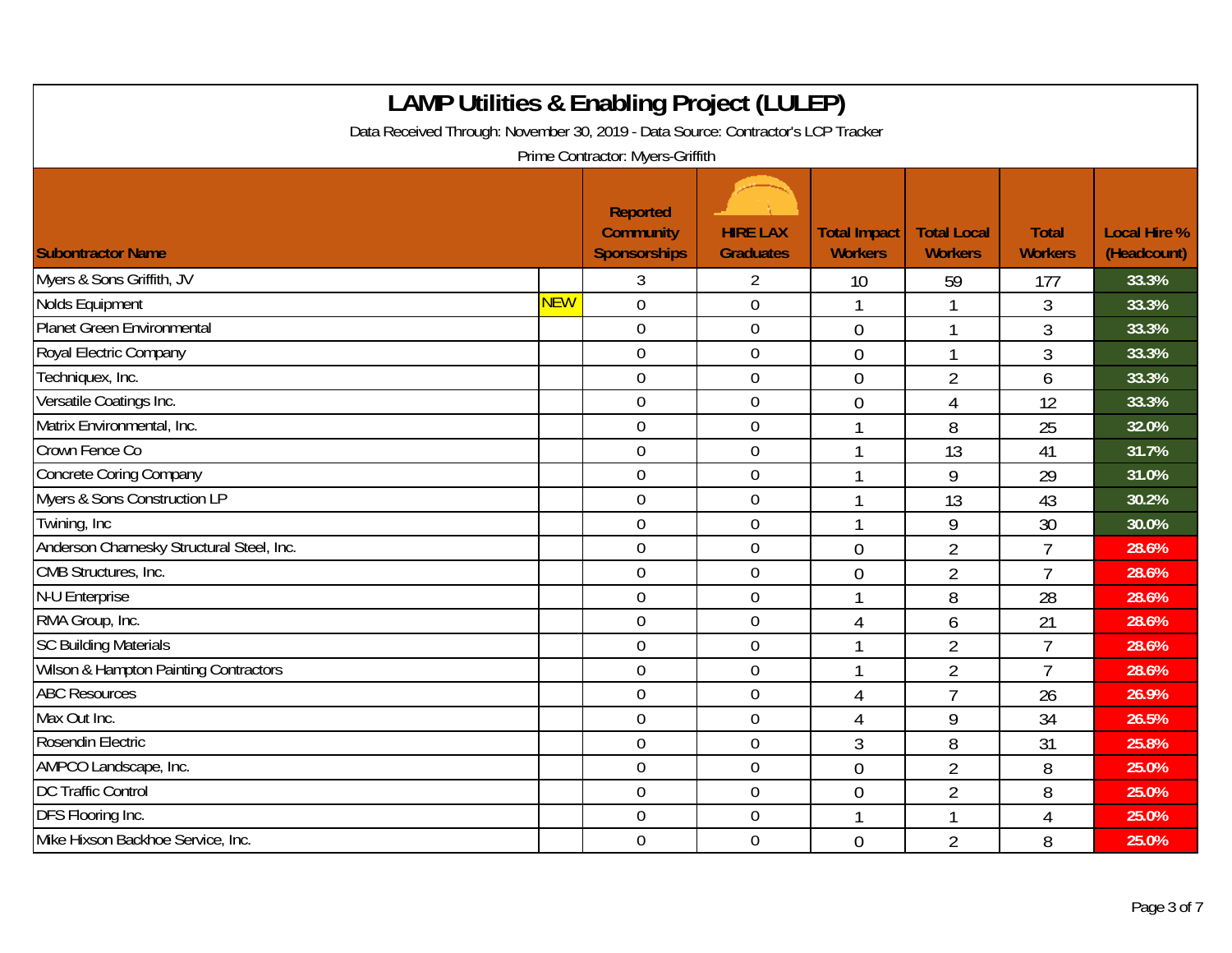| <b>LAMP Utilities &amp; Enabling Project (LULEP)</b><br>Data Received Through: November 30, 2019 - Data Source: Contractor's LCP Tracker<br>Prime Contractor: Myers-Griffith |            |                                                            |                                     |                                       |                                      |                                |                                    |  |
|------------------------------------------------------------------------------------------------------------------------------------------------------------------------------|------------|------------------------------------------------------------|-------------------------------------|---------------------------------------|--------------------------------------|--------------------------------|------------------------------------|--|
| <b>Subontractor Name</b>                                                                                                                                                     |            | <b>Reported</b><br><b>Community</b><br><b>Sponsorships</b> | <b>HIRE LAX</b><br><b>Graduates</b> | <b>Total Impact</b><br><b>Workers</b> | <b>Total Local</b><br><b>Workers</b> | <b>Total</b><br><b>Workers</b> | <b>Local Hire %</b><br>(Headcount) |  |
| Myers & Sons Griffith, JV                                                                                                                                                    |            | 3                                                          | $\overline{2}$                      | 10                                    | 59                                   | 177                            | 33.3%                              |  |
| Nolds Equipment                                                                                                                                                              | <b>NEW</b> | $\overline{0}$                                             | $\mathbf 0$                         |                                       | 1                                    | 3                              | 33.3%                              |  |
| Planet Green Environmental                                                                                                                                                   |            | $\mathbf 0$                                                | $\boldsymbol{0}$                    | $\overline{0}$                        | 1                                    | 3                              | 33.3%                              |  |
| Royal Electric Company                                                                                                                                                       |            | $\mathbf 0$                                                | $\boldsymbol{0}$                    | $\theta$                              | 1                                    | $\overline{3}$                 | 33.3%                              |  |
| Techniquex, Inc.                                                                                                                                                             |            | $\mathbf 0$                                                | $\mathbf 0$                         | $\overline{0}$                        | $\overline{2}$                       | 6                              | 33.3%                              |  |
| Versatile Coatings Inc.                                                                                                                                                      |            | $\mathbf 0$                                                | $\mathbf 0$                         | $\overline{0}$                        | 4                                    | 12                             | 33.3%                              |  |
| Matrix Environmental, Inc.                                                                                                                                                   |            | $\overline{0}$                                             | $\mathbf 0$                         |                                       | 8                                    | 25                             | 32.0%                              |  |
| Crown Fence Co                                                                                                                                                               |            | $\mathbf 0$                                                | $\boldsymbol{0}$                    |                                       | 13                                   | 41                             | 31.7%                              |  |
| <b>Concrete Coring Company</b>                                                                                                                                               |            | $\overline{0}$                                             | $\boldsymbol{0}$                    |                                       | 9                                    | 29                             | 31.0%                              |  |
| Myers & Sons Construction LP                                                                                                                                                 |            | $\mathbf 0$                                                | $\mathbf 0$                         |                                       | 13                                   | 43                             | 30.2%                              |  |
| Twining, Inc.                                                                                                                                                                |            | $\overline{0}$                                             | $\mathbf 0$                         |                                       | 9                                    | 30                             | 30.0%                              |  |
| Anderson Charnesky Structural Steel, Inc.                                                                                                                                    |            | $\mathbf 0$                                                | $\boldsymbol{0}$                    | $\overline{0}$                        | $\overline{2}$                       | $\overline{1}$                 | 28.6%                              |  |
| CMB Structures, Inc.                                                                                                                                                         |            | $\mathbf 0$                                                | $\mathbf 0$                         | $\overline{0}$                        | $\overline{2}$                       | 7                              | 28.6%                              |  |
| <b>N-U Enterprise</b>                                                                                                                                                        |            | $\mathbf 0$                                                | $\mathbf 0$                         |                                       | 8                                    | 28                             | 28.6%                              |  |
| RMA Group, Inc.                                                                                                                                                              |            | $\mathbf 0$                                                | $\mathbf 0$                         | $\overline{4}$                        | 6                                    | 21                             | 28.6%                              |  |
| <b>SC Building Materials</b>                                                                                                                                                 |            | $\boldsymbol{0}$                                           | $\boldsymbol{0}$                    |                                       | $\overline{2}$                       | $\overline{7}$                 | 28.6%                              |  |
| <b>Wilson &amp; Hampton Painting Contractors</b>                                                                                                                             |            | $\overline{0}$                                             | $\mathbf 0$                         |                                       | $\overline{2}$                       | $\overline{7}$                 | 28.6%                              |  |
| <b>ABC Resources</b>                                                                                                                                                         |            | $\mathbf 0$                                                | $\mathbf 0$                         | $\overline{4}$                        | $\overline{7}$                       | 26                             | 26.9%                              |  |
| Max Out Inc.                                                                                                                                                                 |            | $\overline{0}$                                             | $\mathbf 0$                         | $\overline{4}$                        | 9                                    | 34                             | 26.5%                              |  |
| Rosendin Electric                                                                                                                                                            |            | $\mathbf 0$                                                | $\boldsymbol{0}$                    | 3                                     | 8                                    | 31                             | 25.8%                              |  |
| AMPCO Landscape, Inc.                                                                                                                                                        |            | $\mathbf 0$                                                | $\boldsymbol{0}$                    | $\overline{0}$                        | $\overline{2}$                       | 8                              | 25.0%                              |  |
| <b>DC Traffic Control</b>                                                                                                                                                    |            | $\mathbf 0$                                                | $\mathbf 0$                         | $\overline{0}$                        | $\overline{2}$                       | 8                              | 25.0%                              |  |
| DFS Flooring Inc.                                                                                                                                                            |            | $\overline{0}$                                             | $\mathbf 0$                         |                                       | 1                                    | 4                              | 25.0%                              |  |
| Mike Hixson Backhoe Service, Inc.                                                                                                                                            |            | $\mathbf 0$                                                | $\boldsymbol{0}$                    | $\overline{0}$                        | $\overline{2}$                       | 8                              | 25.0%                              |  |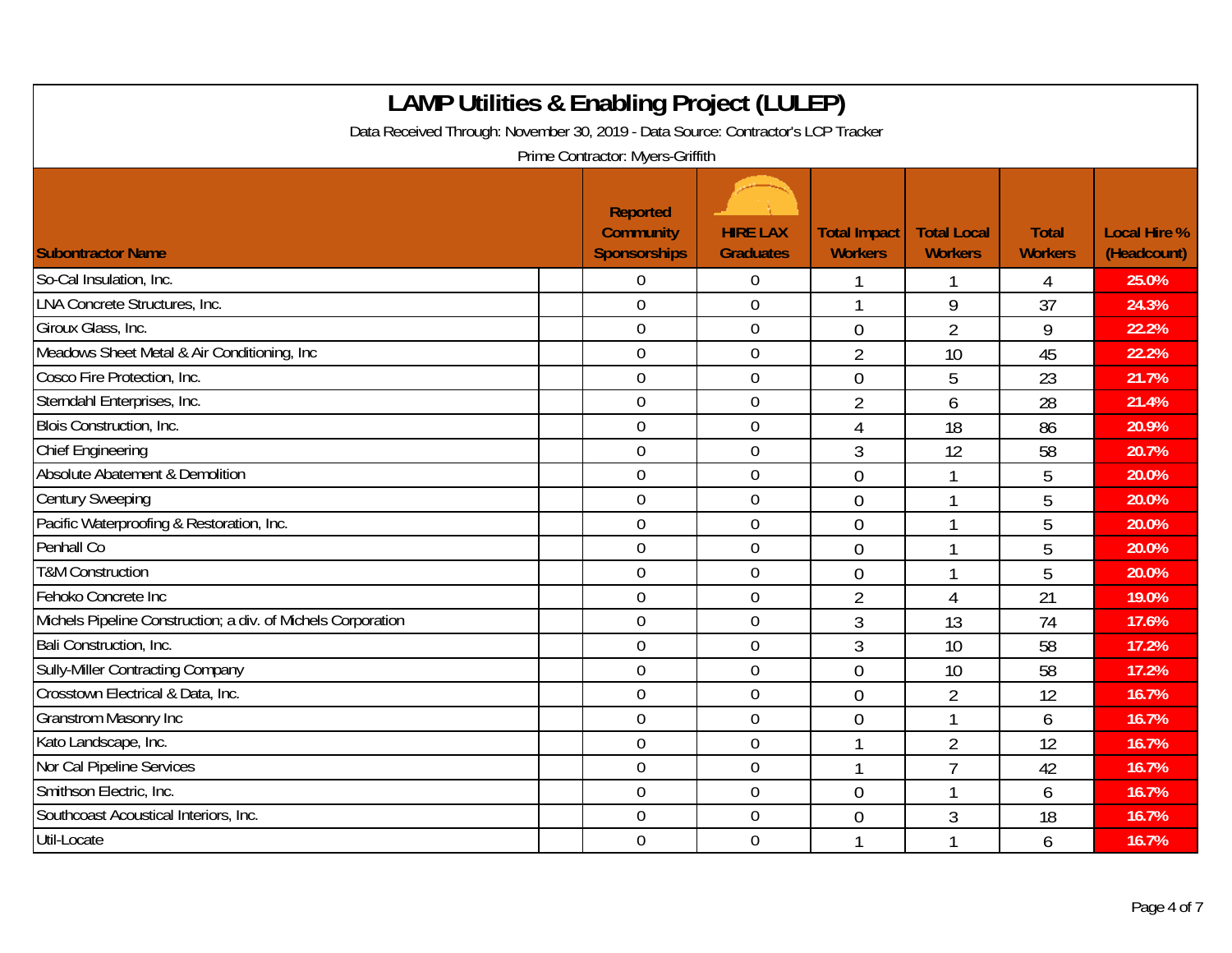| <b>LAMP Utilities &amp; Enabling Project (LULEP)</b><br>Data Received Through: November 30, 2019 - Data Source: Contractor's LCP Tracker<br>Prime Contractor: Myers-Griffith |                                                            |                                     |                                       |                                      |                                |                                    |  |  |  |
|------------------------------------------------------------------------------------------------------------------------------------------------------------------------------|------------------------------------------------------------|-------------------------------------|---------------------------------------|--------------------------------------|--------------------------------|------------------------------------|--|--|--|
| <b>Subontractor Name</b>                                                                                                                                                     | <b>Reported</b><br><b>Community</b><br><b>Sponsorships</b> | <b>HIRE LAX</b><br><b>Graduates</b> | <b>Total Impact</b><br><b>Workers</b> | <b>Total Local</b><br><b>Workers</b> | <b>Total</b><br><b>Workers</b> | <b>Local Hire %</b><br>(Headcount) |  |  |  |
| So-Cal Insulation, Inc.                                                                                                                                                      | $\Omega$                                                   | 0                                   |                                       |                                      | 4                              | 25.0%                              |  |  |  |
| <b>LNA Concrete Structures, Inc.</b>                                                                                                                                         | $\overline{0}$                                             | $\overline{0}$                      |                                       | 9                                    | 37                             | 24.3%                              |  |  |  |
| Giroux Glass, Inc.                                                                                                                                                           | $\theta$                                                   | $\boldsymbol{0}$                    | $\overline{0}$                        | $\overline{2}$                       | 9                              | 22.2%                              |  |  |  |
| Meadows Sheet Metal & Air Conditioning, Inc.                                                                                                                                 | $\overline{0}$                                             | $\mathbf 0$                         | $\overline{2}$                        | 10                                   | 45                             | 22.2%                              |  |  |  |
| Cosco Fire Protection, Inc.                                                                                                                                                  | $\mathbf 0$                                                | $\mathbf 0$                         | $\overline{0}$                        | 5                                    | 23                             | 21.7%                              |  |  |  |
| Sterndahl Enterprises, Inc.                                                                                                                                                  | $\theta$                                                   | $\overline{0}$                      | $\overline{2}$                        | 6                                    | 28                             | 21.4%                              |  |  |  |
| Blois Construction, Inc.                                                                                                                                                     | $\overline{0}$                                             | $\overline{0}$                      | $\overline{4}$                        | 18                                   | 86                             | 20.9%                              |  |  |  |
| <b>Chief Engineering</b>                                                                                                                                                     | $\overline{0}$                                             | $\mathbf 0$                         | 3                                     | 12                                   | 58                             | 20.7%                              |  |  |  |
| Absolute Abatement & Demolition                                                                                                                                              | $\mathbf 0$                                                | $\overline{0}$                      | $\overline{0}$                        | $\mathbf 1$                          | 5                              | 20.0%                              |  |  |  |
| <b>Century Sweeping</b>                                                                                                                                                      | $\mathbf 0$                                                | $\boldsymbol{0}$                    | $\overline{0}$                        | 1                                    | 5                              | 20.0%                              |  |  |  |
| Pacific Waterproofing & Restoration, Inc.                                                                                                                                    | $\overline{0}$                                             | $\mathbf 0$                         | $\overline{0}$                        | 1                                    | 5                              | 20.0%                              |  |  |  |
| Penhall Co                                                                                                                                                                   | $\overline{0}$                                             | $\boldsymbol{0}$                    | $\overline{0}$                        | 1                                    | 5                              | 20.0%                              |  |  |  |
| <b>T&amp;M Construction</b>                                                                                                                                                  | $\mathbf 0$                                                | $\mathbf 0$                         | $\theta$                              | 1                                    | 5                              | 20.0%                              |  |  |  |
| Fehoko Concrete Inc                                                                                                                                                          | $\overline{0}$                                             | $\mathbf 0$                         | $\overline{2}$                        | 4                                    | 21                             | 19.0%                              |  |  |  |
| Michels Pipeline Construction; a div. of Michels Corporation                                                                                                                 | $\mathbf 0$                                                | $\boldsymbol{0}$                    | $\mathfrak{Z}$                        | 13                                   | 74                             | 17.6%                              |  |  |  |
| Bali Construction, Inc.                                                                                                                                                      | $\overline{0}$                                             | $\mathbf 0$                         | $\mathfrak{Z}$                        | 10                                   | 58                             | 17.2%                              |  |  |  |
| <b>Sully-Miller Contracting Company</b>                                                                                                                                      | $\overline{0}$                                             | $\overline{0}$                      | $\Omega$                              | 10                                   | 58                             | 17.2%                              |  |  |  |
| Crosstown Electrical & Data, Inc.                                                                                                                                            | $\mathbf 0$                                                | $\boldsymbol{0}$                    | $\overline{0}$                        | $\overline{2}$                       | 12                             | 16.7%                              |  |  |  |
| <b>Granstrom Masonry Inc</b>                                                                                                                                                 | $\overline{0}$                                             | $\mathbf 0$                         | $\theta$                              | 1                                    | 6                              | 16.7%                              |  |  |  |
| Kato Landscape, Inc.                                                                                                                                                         | $\mathbf 0$                                                | $\mathbf 0$                         |                                       | $\overline{2}$                       | 12                             | 16.7%                              |  |  |  |
| Nor Cal Pipeline Services                                                                                                                                                    | $\mathbf 0$                                                | $\pmb{0}$                           |                                       | $\overline{7}$                       | 42                             | 16.7%                              |  |  |  |
| Smithson Electric, Inc.                                                                                                                                                      | $\overline{0}$                                             | $\mathbf 0$                         | $\theta$                              | 1                                    | 6                              | 16.7%                              |  |  |  |
| Southcoast Acoustical Interiors, Inc.                                                                                                                                        | $\overline{0}$                                             | $\mathbf 0$                         | $\overline{0}$                        | 3                                    | 18                             | 16.7%                              |  |  |  |
| Util-Locate                                                                                                                                                                  | $\mathbf 0$                                                | $\mathbf 0$                         |                                       | 1                                    | 6                              | 16.7%                              |  |  |  |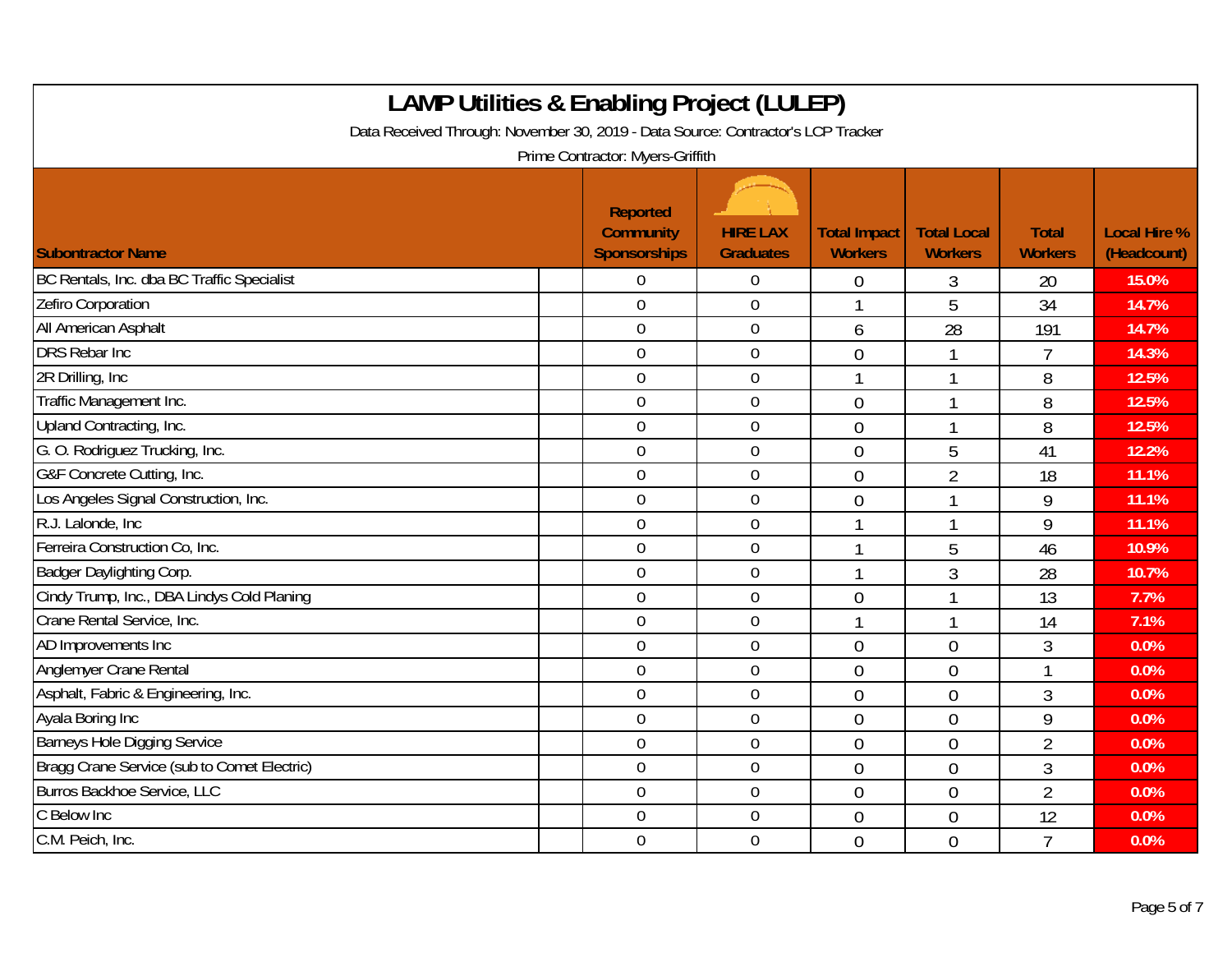| <b>LAMP Utilities &amp; Enabling Project (LULEP)</b><br>Data Received Through: November 30, 2019 - Data Source: Contractor's LCP Tracker<br>Prime Contractor: Myers-Griffith |                                                            |                                     |                                       |                                      |                                |                                    |  |  |  |
|------------------------------------------------------------------------------------------------------------------------------------------------------------------------------|------------------------------------------------------------|-------------------------------------|---------------------------------------|--------------------------------------|--------------------------------|------------------------------------|--|--|--|
| <b>Subontractor Name</b>                                                                                                                                                     | <b>Reported</b><br><b>Community</b><br><b>Sponsorships</b> | <b>HIRE LAX</b><br><b>Graduates</b> | <b>Total Impact</b><br><b>Workers</b> | <b>Total Local</b><br><b>Workers</b> | <b>Total</b><br><b>Workers</b> | <b>Local Hire %</b><br>(Headcount) |  |  |  |
| BC Rentals, Inc. dba BC Traffic Specialist                                                                                                                                   | 0                                                          | $\mathbf 0$                         | $\theta$                              | 3                                    | 20                             | 15.0%                              |  |  |  |
| Zefiro Corporation                                                                                                                                                           | $\overline{0}$                                             | $\mathbf 0$                         |                                       | 5                                    | 34                             | 14.7%                              |  |  |  |
| All American Asphalt                                                                                                                                                         | $\mathbf 0$                                                | $\boldsymbol{0}$                    | 6                                     | 28                                   | 191                            | 14.7%                              |  |  |  |
| <b>DRS Rebar Inc</b>                                                                                                                                                         | $\mathbf 0$                                                | $\mathbf 0$                         | $\overline{0}$                        | 1                                    | $\overline{7}$                 | 14.3%                              |  |  |  |
| 2R Drilling, Inc.                                                                                                                                                            | $\overline{0}$                                             | $\overline{0}$                      |                                       | 1                                    | 8                              | 12.5%                              |  |  |  |
| Traffic Management Inc.                                                                                                                                                      | $\mathbf 0$                                                | $\boldsymbol{0}$                    | $\overline{0}$                        | 1                                    | 8                              | 12.5%                              |  |  |  |
| Upland Contracting, Inc.                                                                                                                                                     | $\overline{0}$                                             | $\mathbf 0$                         | $\theta$                              | 1                                    | 8                              | 12.5%                              |  |  |  |
| G. O. Rodriguez Trucking, Inc.                                                                                                                                               | $\overline{0}$                                             | $\overline{0}$                      | $\Omega$                              | 5                                    | 41                             | 12.2%                              |  |  |  |
| G&F Concrete Cutting, Inc.                                                                                                                                                   | $\mathbf 0$                                                | $\boldsymbol{0}$                    | $\overline{0}$                        | $\overline{2}$                       | 18                             | 11.1%                              |  |  |  |
| Los Angeles Signal Construction, Inc.                                                                                                                                        | $\mathbf 0$                                                | $\mathbf 0$                         | $\overline{0}$                        | 1                                    | 9                              | 11.1%                              |  |  |  |
| R.J. Lalonde, Inc.                                                                                                                                                           | $\overline{0}$                                             | $\overline{0}$                      |                                       | 1                                    | 9                              | 11.1%                              |  |  |  |
| Ferreira Construction Co, Inc.                                                                                                                                               | $\mathbf 0$                                                | $\boldsymbol{0}$                    | 1                                     | 5                                    | 46                             | 10.9%                              |  |  |  |
| Badger Daylighting Corp.                                                                                                                                                     | $\mathbf 0$                                                | $\mathbf 0$                         |                                       | 3                                    | 28                             | 10.7%                              |  |  |  |
| Cindy Trump, Inc., DBA Lindys Cold Planing                                                                                                                                   | $\overline{0}$                                             | $\mathbf 0$                         | $\overline{0}$                        | 1                                    | 13                             | 7.7%                               |  |  |  |
| Crane Rental Service, Inc.                                                                                                                                                   | $\boldsymbol{0}$                                           | $\boldsymbol{0}$                    |                                       | 1                                    | 14                             | 7.1%                               |  |  |  |
| AD Improvements Inc                                                                                                                                                          | $\mathbf 0$                                                | $\mathbf 0$                         | $\overline{0}$                        | $\overline{0}$                       | 3                              | 0.0%                               |  |  |  |
| Anglemyer Crane Rental                                                                                                                                                       | $\overline{0}$                                             | $\mathbf 0$                         | $\theta$                              | $\overline{0}$                       | 1                              | 0.0%                               |  |  |  |
| Asphalt, Fabric & Engineering, Inc.                                                                                                                                          | $\overline{0}$                                             | $\boldsymbol{0}$                    | $\overline{0}$                        | $\overline{0}$                       | 3                              | 0.0%                               |  |  |  |
| Ayala Boring Inc                                                                                                                                                             | $\mathbf 0$                                                | $\mathbf 0$                         | $\overline{0}$                        | $\theta$                             | 9                              | 0.0%                               |  |  |  |
| <b>Barneys Hole Digging Service</b>                                                                                                                                          | $\mathbf 0$                                                | $\mathbf 0$                         | $\overline{0}$                        | $\overline{0}$                       | $\overline{2}$                 | 0.0%                               |  |  |  |
| Bragg Crane Service (sub to Comet Electric)                                                                                                                                  | $\mathbf 0$                                                | $\mathbf 0$                         | $\overline{0}$                        | $\overline{0}$                       | $\overline{3}$                 | 0.0%                               |  |  |  |
| Burros Backhoe Service, LLC                                                                                                                                                  | $\mathbf 0$                                                | $\boldsymbol{0}$                    | $\mathbf 0$                           | $\mathbf 0$                          | $\overline{2}$                 | 0.0%                               |  |  |  |
| C Below Inc                                                                                                                                                                  | $\mathbf 0$                                                | $\mathbf 0$                         | $\overline{0}$                        | 0                                    | 12                             | 0.0%                               |  |  |  |
| C.M. Peich, Inc.                                                                                                                                                             | $\overline{0}$                                             | $\mathbf 0$                         | $\overline{0}$                        | $\overline{0}$                       | $\overline{7}$                 | 0.0%                               |  |  |  |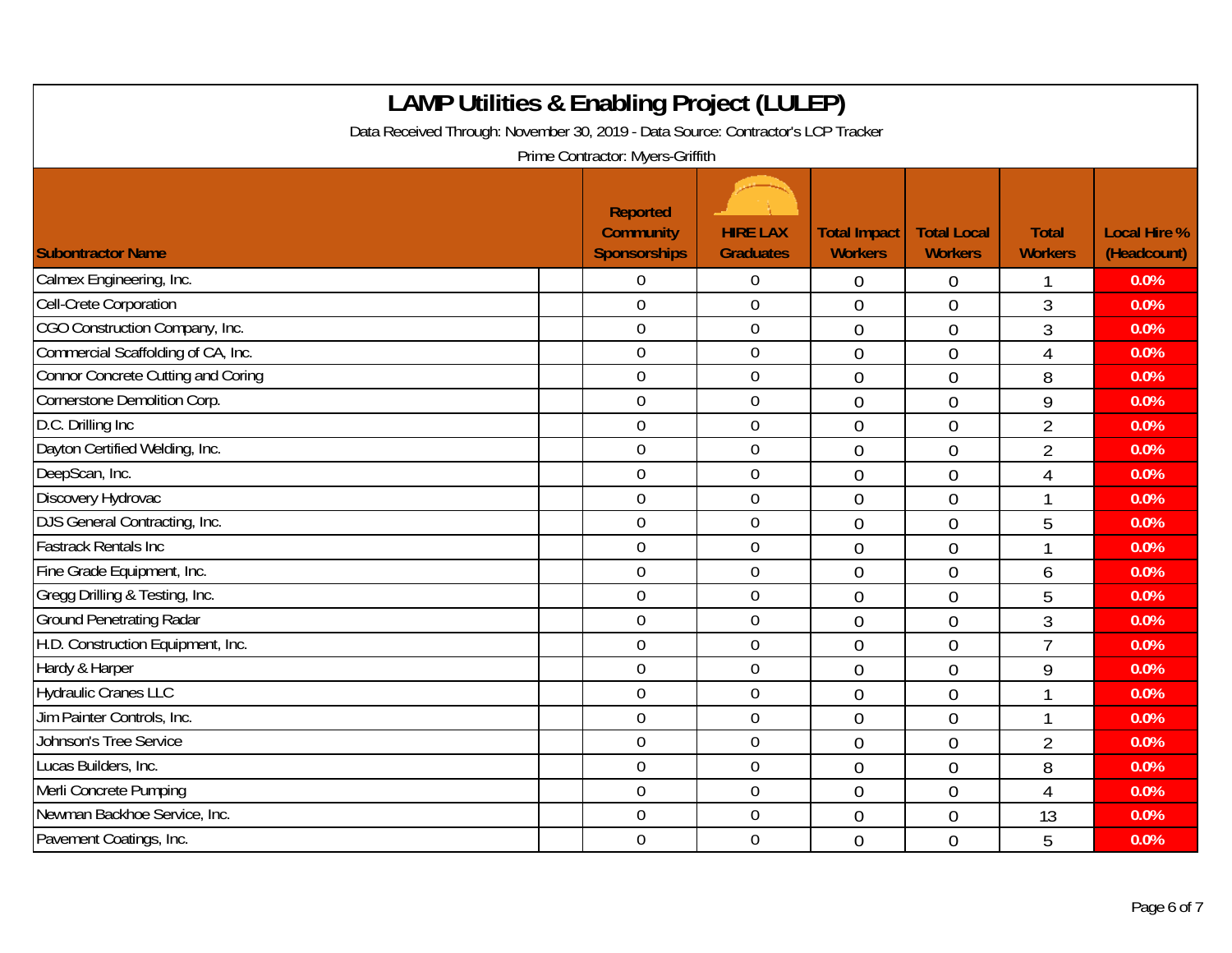| <b>LAMP Utilities &amp; Enabling Project (LULEP)</b><br>Data Received Through: November 30, 2019 - Data Source: Contractor's LCP Tracker<br>Prime Contractor: Myers-Griffith |  |                                                     |                                     |                                       |                                      |                                |                                    |  |  |
|------------------------------------------------------------------------------------------------------------------------------------------------------------------------------|--|-----------------------------------------------------|-------------------------------------|---------------------------------------|--------------------------------------|--------------------------------|------------------------------------|--|--|
| <b>Subontractor Name</b>                                                                                                                                                     |  | <b>Reported</b><br><b>Community</b><br>Sponsorships | <b>HIRE LAX</b><br><b>Graduates</b> | <b>Total Impact</b><br><b>Workers</b> | <b>Total Local</b><br><b>Workers</b> | <b>Total</b><br><b>Workers</b> | <b>Local Hire %</b><br>(Headcount) |  |  |
| Calmex Engineering, Inc.                                                                                                                                                     |  | $\overline{0}$                                      | $\overline{0}$                      | $\overline{0}$                        | $\overline{0}$                       |                                | 0.0%                               |  |  |
| Cell-Crete Corporation                                                                                                                                                       |  | $\overline{0}$                                      | $\overline{0}$                      | $\overline{0}$                        | $\theta$                             | 3                              | 0.0%                               |  |  |
| CGO Construction Company, Inc.                                                                                                                                               |  | $\mathbf 0$                                         | $\boldsymbol{0}$                    | $\overline{0}$                        | $\overline{0}$                       | $\overline{3}$                 | 0.0%                               |  |  |
| Commercial Scaffolding of CA, Inc.                                                                                                                                           |  | $\overline{0}$                                      | $\boldsymbol{0}$                    | $\overline{0}$                        | $\mathbf 0$                          | 4                              | 0.0%                               |  |  |
| Connor Concrete Cutting and Coring                                                                                                                                           |  | $\mathbf 0$                                         | $\mathbf 0$                         | $\overline{0}$                        | $\overline{0}$                       | 8                              | 0.0%                               |  |  |
| Cornerstone Demolition Corp.                                                                                                                                                 |  | $\overline{0}$                                      | $\boldsymbol{0}$                    | $\overline{0}$                        | $\overline{0}$                       | 9                              | 0.0%                               |  |  |
| D.C. Drilling Inc                                                                                                                                                            |  | $\theta$                                            | $\mathbf 0$                         | $\overline{0}$                        | $\overline{0}$                       | $\overline{2}$                 | 0.0%                               |  |  |
| Dayton Certified Welding, Inc.                                                                                                                                               |  | $\mathbf 0$                                         | $\mathbf 0$                         | $\overline{0}$                        | $\overline{0}$                       | $\overline{2}$                 | 0.0%                               |  |  |
| DeepScan, Inc.                                                                                                                                                               |  | $\mathbf 0$                                         | $\mathbf 0$                         | $\overline{0}$                        | $\mathbf 0$                          | 4                              | 0.0%                               |  |  |
| Discovery Hydrovac                                                                                                                                                           |  | $\boldsymbol{0}$                                    | $\boldsymbol{0}$                    | $\overline{0}$                        | $\mathbf 0$                          |                                | 0.0%                               |  |  |
| DJS General Contracting, Inc.                                                                                                                                                |  | $\mathbf 0$                                         | $\mathbf 0$                         | $\overline{0}$                        | $\overline{0}$                       | 5                              | 0.0%                               |  |  |
| <b>Fastrack Rentals Inc</b>                                                                                                                                                  |  | $\mathbf 0$                                         | $\mathbf 0$                         | $\overline{0}$                        | $\overline{0}$                       |                                | 0.0%                               |  |  |
| Fine Grade Equipment, Inc.                                                                                                                                                   |  | $\overline{0}$                                      | $\mathbf 0$                         | $\overline{0}$                        | $\overline{0}$                       | 6                              | 0.0%                               |  |  |
| Gregg Drilling & Testing, Inc.                                                                                                                                               |  | $\overline{0}$                                      | $\overline{0}$                      | $\overline{0}$                        | $\theta$                             | 5                              | 0.0%                               |  |  |
| <b>Ground Penetrating Radar</b>                                                                                                                                              |  | $\overline{0}$                                      | $\overline{0}$                      | $\overline{0}$                        | $\theta$                             | 3                              | 0.0%                               |  |  |
| H.D. Construction Equipment, Inc.                                                                                                                                            |  | $\overline{0}$                                      | $\boldsymbol{0}$                    | $\overline{0}$                        | $\overline{0}$                       | $\overline{7}$                 | 0.0%                               |  |  |
| Hardy & Harper                                                                                                                                                               |  | $\mathbf 0$                                         | $\mathbf 0$                         | $\overline{0}$                        | $\overline{0}$                       | 9                              | 0.0%                               |  |  |
| <b>Hydraulic Cranes LLC</b>                                                                                                                                                  |  | $\overline{0}$                                      | $\mathbf 0$                         | $\overline{0}$                        | $\overline{0}$                       |                                | 0.0%                               |  |  |
| Jim Painter Controls, Inc.                                                                                                                                                   |  | $\mathbf 0$                                         | $\mathbf 0$                         | $\overline{0}$                        | $\overline{0}$                       | $\overline{\mathbf{1}}$        | 0.0%                               |  |  |
| Johnson's Tree Service                                                                                                                                                       |  | $\mathbf 0$                                         | $\mathbf 0$                         | $\overline{0}$                        | $\overline{0}$                       | $\overline{2}$                 | 0.0%                               |  |  |
| Lucas Builders, Inc.                                                                                                                                                         |  | $\overline{0}$                                      | $\overline{0}$                      | $\overline{0}$                        | $\mathbf 0$                          | 8                              | 0.0%                               |  |  |
| Merli Concrete Pumping                                                                                                                                                       |  | $\overline{0}$                                      | $\overline{0}$                      | $\overline{0}$                        | $\overline{0}$                       | 4                              | 0.0%                               |  |  |
| Newman Backhoe Service, Inc.                                                                                                                                                 |  | $\mathbf 0$                                         | $\boldsymbol{0}$                    | $\mathbf 0$                           | $\overline{0}$                       | 13                             | 0.0%                               |  |  |
| Pavement Coatings, Inc.                                                                                                                                                      |  | $\overline{0}$                                      | $\mathbf 0$                         | $\overline{0}$                        | $\overline{0}$                       | 5                              | 0.0%                               |  |  |